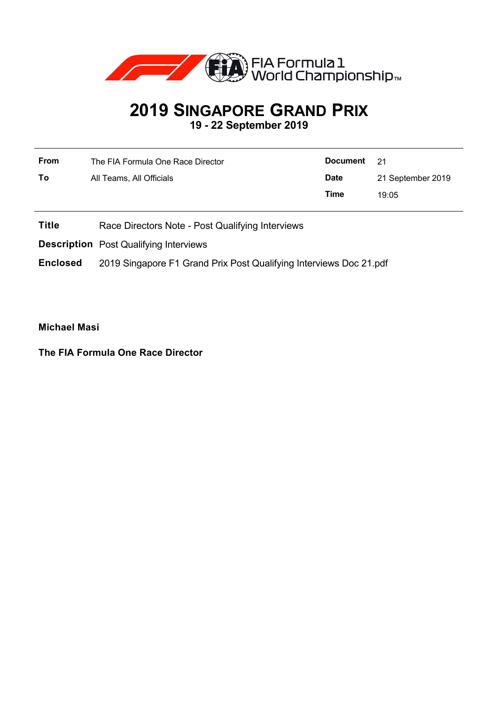

## **2019 SINGAPORE GRAND PRIX 19 - 22 September 2019**

| <b>From</b> | The FIA Formula One Race Director | <b>Document</b> | - 21              |
|-------------|-----------------------------------|-----------------|-------------------|
| To          | All Teams, All Officials          | <b>Date</b>     | 21 September 2019 |
|             |                                   | Time            | 19:05             |
|             |                                   |                 |                   |

- **Title** Race Directors Note Post Qualifying Interviews
- **Description** Post Qualifying Interviews

**Enclosed** 2019 Singapore F1 Grand Prix Post Qualifying Interviews Doc 21.pdf

**Michael Masi**

**The FIA Formula One Race Director**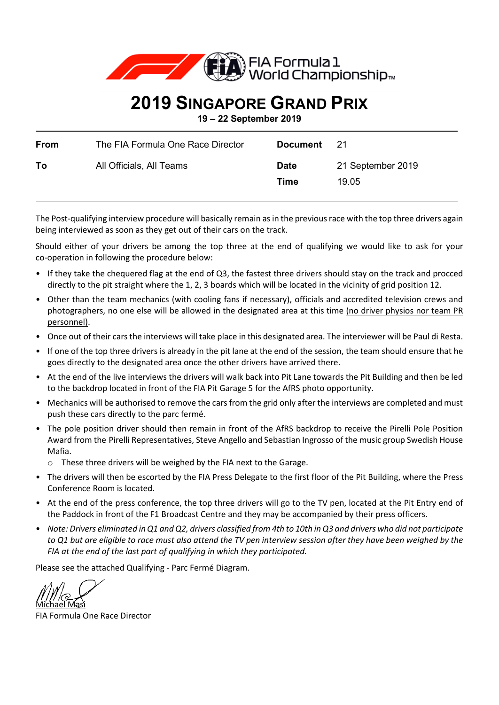

## **2019 SINGAPORE GRAND PRIX**

**19 – 22 September 2019**

| From | The FIA Formula One Race Director | Document            | -21                        |
|------|-----------------------------------|---------------------|----------------------------|
| To   | All Officials, All Teams          | <b>Date</b><br>Time | 21 September 2019<br>19.05 |

The Post-qualifying interview procedure will basically remain as in the previous race with the top three drivers again being interviewed as soon as they get out of their cars on the track.

Should either of your drivers be among the top three at the end of qualifying we would like to ask for your co-operation in following the procedure below:

- If they take the chequered flag at the end of Q3, the fastest three drivers should stay on the track and procced directly to the pit straight where the 1, 2, 3 boards which will be located in the vicinity of grid position 12.
- Other than the team mechanics (with cooling fans if necessary), officials and accredited television crews and photographers, no one else will be allowed in the designated area at this time (no driver physios nor team PR personnel).
- Once out of their cars the interviews will take place in this designated area. The interviewer will be Paul di Resta.
- If one of the top three drivers is already in the pit lane at the end of the session, the team should ensure that he goes directly to the designated area once the other drivers have arrived there.
- At the end of the live interviews the drivers will walk back into Pit Lane towards the Pit Building and then be led to the backdrop located in front of the FIA Pit Garage 5 for the AfRS photo opportunity.
- Mechanics will be authorised to remove the cars from the grid only after the interviews are completed and must push these cars directly to the parc fermé.
- The pole position driver should then remain in front of the AfRS backdrop to receive the Pirelli Pole Position Award from the Pirelli Representatives, Steve Angello and Sebastian Ingrosso of the music group Swedish House Mafia.
	- o These three drivers will be weighed by the FIA next to the Garage.
- The drivers will then be escorted by the FIA Press Delegate to the first floor of the Pit Building, where the Press Conference Room is located.
- At the end of the press conference, the top three drivers will go to the TV pen, located at the Pit Entry end of the Paddock in front of the F1 Broadcast Centre and they may be accompanied by their press officers.
- *Note: Drivers eliminated in Q1 and Q2, drivers classified from 4th to 10th in Q3 and drivers who did not participate to Q1 but are eligible to race must also attend the TV pen interview session after they have been weighed by the FIA at the end of the last part of qualifying in which they participated.*

Please see the attached Qualifying - Parc Fermé Diagram.

<u>Michael Masi</u>

FIA Formula One Race Director